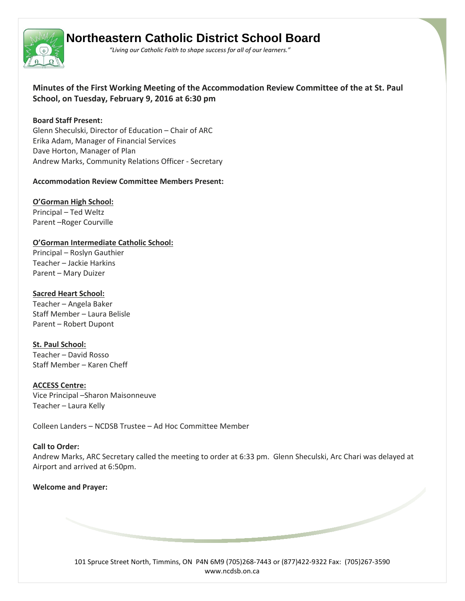

# **Northeastern Catholic District School Board**

 *"Living our Catholic Faith to shape success for all of our learners."*

**Minutes of the First Working Meeting of the Accommodation Review Committee of the at St. Paul School, on Tuesday, February 9, 2016 at 6:30 pm** 

#### **Board Staff Present:**

Glenn Sheculski, Director of Education – Chair of ARC Erika Adam, Manager of Financial Services Dave Horton, Manager of Plan Andrew Marks, Community Relations Officer - Secretary

#### **Accommodation Review Committee Members Present:**

**O'Gorman High School:**

Principal – Ted Weltz Parent –Roger Courville

# **O'Gorman Intermediate Catholic School:**

Principal – Roslyn Gauthier Teacher – Jackie Harkins Parent – Mary Duizer

## **Sacred Heart School:**

Teacher – Angela Baker Staff Member – Laura Belisle Parent – Robert Dupont

**St. Paul School:** Teacher – David Rosso Staff Member – Karen Cheff

**ACCESS Centre:** Vice Principal –Sharon Maisonneuve Teacher – Laura Kelly

Colleen Landers – NCDSB Trustee – Ad Hoc Committee Member

## **Call to Order:**

Andrew Marks, ARC Secretary called the meeting to order at 6:33 pm. Glenn Sheculski, Arc Chari was delayed at Airport and arrived at 6:50pm.

## **Welcome and Prayer:**

101 Spruce Street North, Timmins, ON P4N 6M9 (705)268-7443 or (877)422-9322 Fax: (705)267-3590 www.ncdsb.on.ca